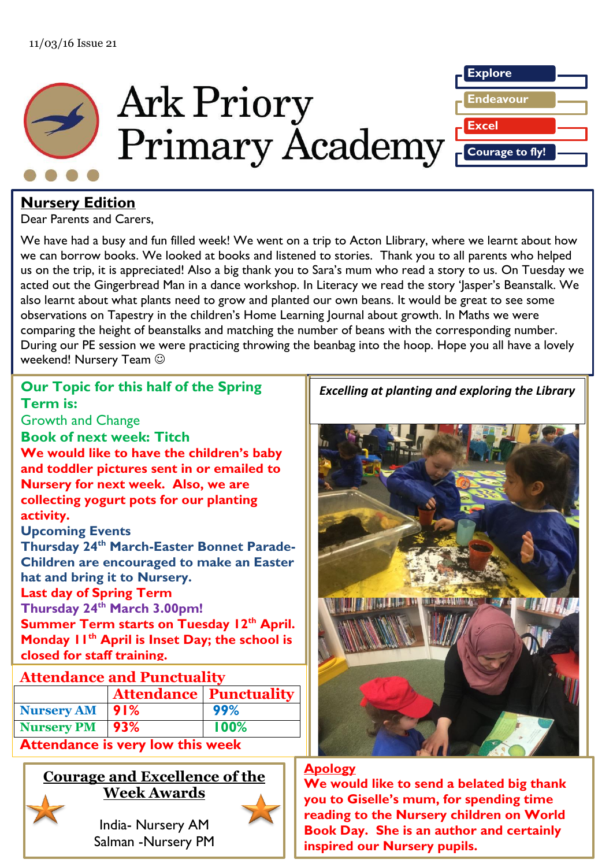



## **Nursery Edition**

Dear Parents and Carers,

We have had a busy and fun filled week! We went on a trip to Acton Llibrary, where we learnt about how we can borrow books. We looked at books and listened to stories. Thank you to all parents who helped us on the trip, it is appreciated! Also a big thank you to Sara's mum who read a story to us. On Tuesday we acted out the Gingerbread Man in a dance workshop. In Literacy we read the story 'Jasper's Beanstalk. We also learnt about what plants need to grow and planted our own beans. It would be great to see some observations on Tapestry in the children's Home Learning Journal about growth. In Maths we were comparing the height of beanstalks and matching the number of beans with the corresponding number. During our PE session we were practicing throwing the beanbag into the hoop. Hope you all have a lovely weekend! Nursery Team  $\odot$ 

## Our Topic for this half of the Spring<br>Team in Have a nice weekend! **Thursday 24th March 3.00pm! Summer Term starts on Tuesday 12<sup>th</sup> April. Term is:** Growth and Change **Book of next week: Titch We would like to have the children's baby and toddler pictures sent in or emailed to Nursery for next week. Also, we are collecting yogurt pots for our planting activity. Upcoming Events Thursday 24th March-Easter Bonnet Parade-Children are encouraged to make an Easter hat and bring it to Nursery. Last day of Spring Term Monday 11th April is Inset Day; the school is closed for staff training. The date of when you will receive your login details has Nursery PM 93% 100% b**  $\frac{100}{0}$ Attendance is very low this week **Fapping 1** Courage and Excellence of the **Excelling at planting and exploring the Library Week Awards Attendance and Punctuality Attendance Punctuality Nursery AM 91% 99% and Breaker Construction We would like to send a belated big thank**

**2015.** ś

l,

**Tapestry in the Early Years** 

**been moved to the moved to the moved of the 2** Salman -Nursery PM